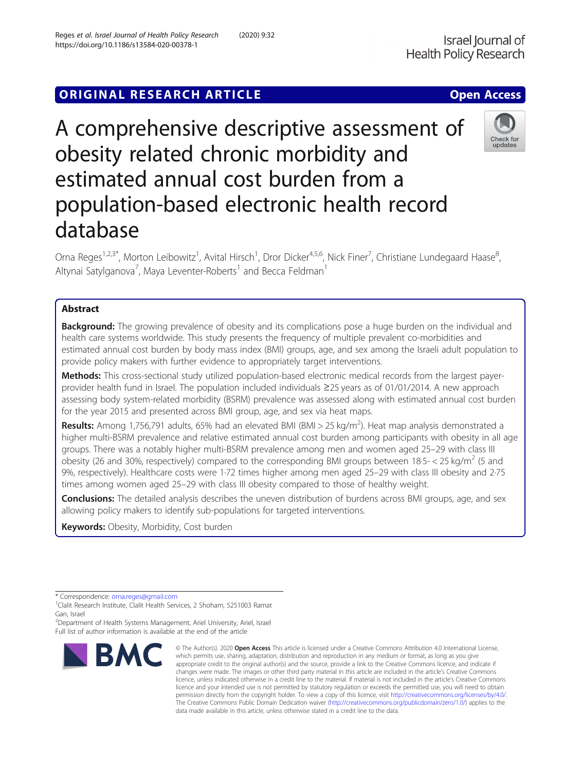# **ORIGINAL RESEARCH ARTICLE CONSUMING ACCESS**

A comprehensive descriptive assessment of obesity related chronic morbidity and estimated annual cost burden from a population-based electronic health record database

Orna Reges<sup>1,2,3\*</sup>, Morton Leibowitz<sup>1</sup>, Avital Hirsch<sup>1</sup>, Dror Dicker<sup>4,5,6</sup>, Nick Finer<sup>7</sup>, Christiane Lundegaard Haase<sup>8</sup> ;<br>, Altynai Satylganova<sup>7</sup>, Maya Leventer-Roberts<sup>1</sup> and Becca Feldman<sup>1</sup>

## Abstract

**Background:** The growing prevalence of obesity and its complications pose a huge burden on the individual and health care systems worldwide. This study presents the frequency of multiple prevalent co-morbidities and estimated annual cost burden by body mass index (BMI) groups, age, and sex among the Israeli adult population to provide policy makers with further evidence to appropriately target interventions.

Methods: This cross-sectional study utilized population-based electronic medical records from the largest payerprovider health fund in Israel. The population included individuals ≥25 years as of 01/01/2014. A new approach assessing body system-related morbidity (BSRM) prevalence was assessed along with estimated annual cost burden for the year 2015 and presented across BMI group, age, and sex via heat maps.

Results: Among 1,756,791 adults, 65% had an elevated BMI (BMI > 25 kg/m<sup>2</sup>). Heat map analysis demonstrated a higher multi-BSRM prevalence and relative estimated annual cost burden among participants with obesity in all age groups. There was a notably higher multi-BSRM prevalence among men and women aged 25–29 with class III obesity (26 and 30%, respectively) compared to the corresponding BMI groups between 18·5- $<$  25 kg/m<sup>2</sup> (5 and 9%, respectively). Healthcare costs were 1·72 times higher among men aged 25–29 with class III obesity and 2·75 times among women aged 25–29 with class III obesity compared to those of healthy weight.

Conclusions: The detailed analysis describes the uneven distribution of burdens across BMI groups, age, and sex allowing policy makers to identify sub-populations for targeted interventions.

Keywords: Obesity, Morbidity, Cost burden

<sup>2</sup>Department of Health Systems Management, Ariel University, Ariel, Israel Full list of author information is available at the end of the article





<sup>\*</sup> Correspondence: [orna.reges@gmail.com](mailto:orna.reges@gmail.com)<br><sup>1</sup>Clalit Research Institute, Clalit Health Services, 2 Shoham, 5251003 Ramat Gan, Israel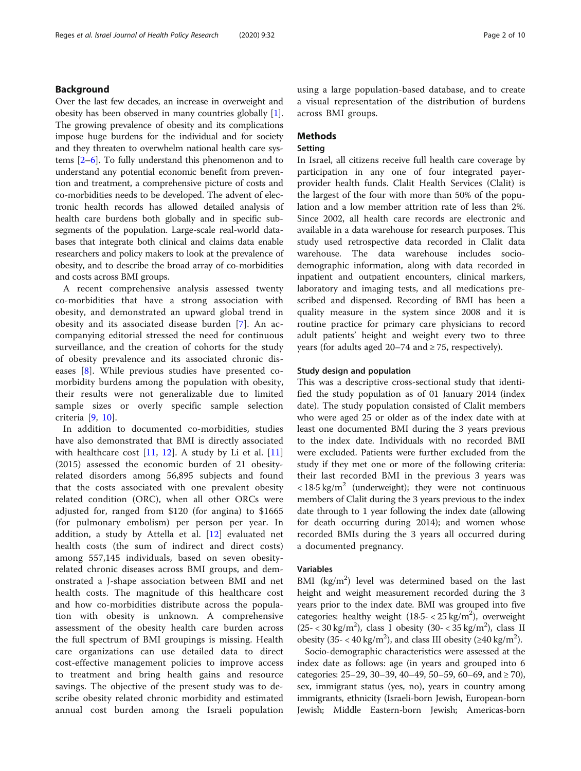## Background

Over the last few decades, an increase in overweight and obesity has been observed in many countries globally [[1](#page-9-0)]. The growing prevalence of obesity and its complications impose huge burdens for the individual and for society and they threaten to overwhelm national health care systems [\[2](#page-9-0)–[6\]](#page-9-0). To fully understand this phenomenon and to understand any potential economic benefit from prevention and treatment, a comprehensive picture of costs and co-morbidities needs to be developed. The advent of electronic health records has allowed detailed analysis of health care burdens both globally and in specific subsegments of the population. Large-scale real-world databases that integrate both clinical and claims data enable researchers and policy makers to look at the prevalence of obesity, and to describe the broad array of co-morbidities and costs across BMI groups.

A recent comprehensive analysis assessed twenty co-morbidities that have a strong association with obesity, and demonstrated an upward global trend in obesity and its associated disease burden [[7](#page-9-0)]. An accompanying editorial stressed the need for continuous surveillance, and the creation of cohorts for the study of obesity prevalence and its associated chronic diseases [\[8](#page-9-0)]. While previous studies have presented comorbidity burdens among the population with obesity, their results were not generalizable due to limited sample sizes or overly specific sample selection criteria [\[9](#page-9-0), [10\]](#page-9-0).

In addition to documented co-morbidities, studies have also demonstrated that BMI is directly associated with healthcare cost  $[11, 12]$  $[11, 12]$  $[11, 12]$  $[11, 12]$  $[11, 12]$ . A study by Li et al.  $[11]$  $[11]$ (2015) assessed the economic burden of 21 obesityrelated disorders among 56,895 subjects and found that the costs associated with one prevalent obesity related condition (ORC), when all other ORCs were adjusted for, ranged from \$120 (for angina) to \$1665 (for pulmonary embolism) per person per year. In addition, a study by Attella et al. [[12\]](#page-9-0) evaluated net health costs (the sum of indirect and direct costs) among 557,145 individuals, based on seven obesityrelated chronic diseases across BMI groups, and demonstrated a J-shape association between BMI and net health costs. The magnitude of this healthcare cost and how co-morbidities distribute across the population with obesity is unknown. A comprehensive assessment of the obesity health care burden across the full spectrum of BMI groupings is missing. Health care organizations can use detailed data to direct cost-effective management policies to improve access to treatment and bring health gains and resource savings. The objective of the present study was to describe obesity related chronic morbidity and estimated annual cost burden among the Israeli population using a large population-based database, and to create a visual representation of the distribution of burdens across BMI groups.

## Methods

## Setting

In Israel, all citizens receive full health care coverage by participation in any one of four integrated payerprovider health funds. Clalit Health Services (Clalit) is the largest of the four with more than 50% of the population and a low member attrition rate of less than 2%. Since 2002, all health care records are electronic and available in a data warehouse for research purposes. This study used retrospective data recorded in Clalit data warehouse. The data warehouse includes sociodemographic information, along with data recorded in inpatient and outpatient encounters, clinical markers, laboratory and imaging tests, and all medications prescribed and dispensed. Recording of BMI has been a quality measure in the system since 2008 and it is routine practice for primary care physicians to record adult patients' height and weight every two to three years (for adults aged  $20-74$  and  $\geq 75$ , respectively).

### Study design and population

This was a descriptive cross-sectional study that identified the study population as of 01 January 2014 (index date). The study population consisted of Clalit members who were aged 25 or older as of the index date with at least one documented BMI during the 3 years previous to the index date. Individuals with no recorded BMI were excluded. Patients were further excluded from the study if they met one or more of the following criteria: their last recorded BMI in the previous 3 years was  $\langle 18.5 \text{ kg/m}^2$  (underweight); they were not continuous members of Clalit during the 3 years previous to the index date through to 1 year following the index date (allowing for death occurring during 2014); and women whose recorded BMIs during the 3 years all occurred during a documented pregnancy.

## Variables

BMI (kg/m<sup>2</sup>) level was determined based on the last height and weight measurement recorded during the 3 years prior to the index date. BMI was grouped into five categories: healthy weight  $(18.5 - < 25 \text{ kg/m}^2)$ , overweight  $(25 < 30 \text{ kg/m}^2)$ , class I obesity  $(30 < 35 \text{ kg/m}^2)$ , class II obesity (35 - < 40 kg/m<sup>2</sup>), and class III obesity ( $\geq$ 40 kg/m<sup>2</sup>).

Socio-demographic characteristics were assessed at the index date as follows: age (in years and grouped into 6 categories:  $25-29$ ,  $30-39$ ,  $40-49$ ,  $50-59$ ,  $60-69$ , and ≥ 70), sex, immigrant status (yes, no), years in country among immigrants, ethnicity (Israeli-born Jewish, European-born Jewish; Middle Eastern-born Jewish; Americas-born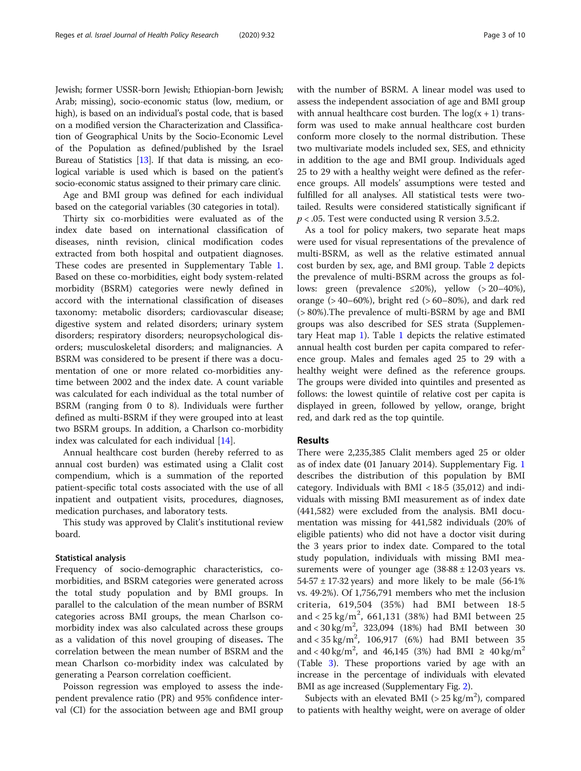Jewish; former USSR-born Jewish; Ethiopian-born Jewish; Arab; missing), socio-economic status (low, medium, or high), is based on an individual's postal code, that is based on a modified version the Characterization and Classification of Geographical Units by the Socio-Economic Level of the Population as defined/published by the Israel Bureau of Statistics [[13](#page-9-0)]. If that data is missing, an ecological variable is used which is based on the patient's socio-economic status assigned to their primary care clinic.

Age and BMI group was defined for each individual based on the categorial variables (30 categories in total).

Thirty six co-morbidities were evaluated as of the index date based on international classification of diseases, ninth revision, clinical modification codes extracted from both hospital and outpatient diagnoses. These codes are presented in Supplementary Table [1](#page-8-0). Based on these co-morbidities, eight body system-related morbidity (BSRM) categories were newly defined in accord with the international classification of diseases taxonomy: metabolic disorders; cardiovascular disease; digestive system and related disorders; urinary system disorders; respiratory disorders; neuropsychological disorders; musculoskeletal disorders; and malignancies. A BSRM was considered to be present if there was a documentation of one or more related co-morbidities anytime between 2002 and the index date. A count variable was calculated for each individual as the total number of BSRM (ranging from 0 to 8). Individuals were further defined as multi-BSRM if they were grouped into at least two BSRM groups. In addition, a Charlson co-morbidity index was calculated for each individual [\[14](#page-9-0)].

Annual healthcare cost burden (hereby referred to as annual cost burden) was estimated using a Clalit cost compendium, which is a summation of the reported patient-specific total costs associated with the use of all inpatient and outpatient visits, procedures, diagnoses, medication purchases, and laboratory tests.

This study was approved by Clalit's institutional review board.

### Statistical analysis

Frequency of socio-demographic characteristics, comorbidities, and BSRM categories were generated across the total study population and by BMI groups. In parallel to the calculation of the mean number of BSRM categories across BMI groups, the mean Charlson comorbidity index was also calculated across these groups as a validation of this novel grouping of diseases. The correlation between the mean number of BSRM and the mean Charlson co-morbidity index was calculated by generating a Pearson correlation coefficient.

Poisson regression was employed to assess the independent prevalence ratio (PR) and 95% confidence interval (CI) for the association between age and BMI group with the number of BSRM. A linear model was used to assess the independent association of age and BMI group with annual healthcare cost burden. The  $log(x + 1)$  transform was used to make annual healthcare cost burden conform more closely to the normal distribution. These two multivariate models included sex, SES, and ethnicity in addition to the age and BMI group. Individuals aged 25 to 29 with a healthy weight were defined as the reference groups. All models' assumptions were tested and fulfilled for all analyses. All statistical tests were twotailed. Results were considered statistically significant if  $p < .05$ . Test were conducted using R version 3.5.2.

As a tool for policy makers, two separate heat maps were used for visual representations of the prevalence of multi-BSRM, as well as the relative estimated annual cost burden by sex, age, and BMI group. Table [2](#page-3-0) depicts the prevalence of multi-BSRM across the groups as follows: green (prevalence  $\leq 20\%$ ), yellow (> 20–40%), orange  $(>40-60%)$ , bright red  $(>60-80%)$ , and dark red (> 80%).The prevalence of multi-BSRM by age and BMI groups was also described for SES strata (Supplementary Heat map [1](#page-8-0)). Table [1](#page-3-0) depicts the relative estimated annual health cost burden per capita compared to reference group. Males and females aged 25 to 29 with a healthy weight were defined as the reference groups. The groups were divided into quintiles and presented as follows: the lowest quintile of relative cost per capita is displayed in green, followed by yellow, orange, bright red, and dark red as the top quintile.

## Results

There were 2,235,385 Clalit members aged 25 or older as of index date (01 January 2014). Supplementary Fig. [1](#page-8-0) describes the distribution of this population by BMI category. Individuals with BMI < 18·5 (35,012) and individuals with missing BMI measurement as of index date (441,582) were excluded from the analysis. BMI documentation was missing for 441,582 individuals (20% of eligible patients) who did not have a doctor visit during the 3 years prior to index date. Compared to the total study population, individuals with missing BMI measurements were of younger age  $(38.88 \pm 12.03 \text{ years} \text{ vs.})$  $54.57 \pm 17.32$  years) and more likely to be male (56.1%) vs. 49·2%). Of 1,756,791 members who met the inclusion criteria, 619,504 (35%) had BMI between 18·5 and <  $25 \text{ kg/m}^2$ , 661,131 (38%) had BMI between 25 and <  $30 \text{ kg/m}^2$ ,  $323,094$  (18%) had BMI between 30 and <  $35 \text{ kg/m}^2$ , 106,917 (6%) had BMI between 35 and < 40 kg/m<sup>2</sup>, and 46,145 (3%) had BMI  $\geq 40$  kg/m<sup>2</sup> (Table [3\)](#page-4-0). These proportions varied by age with an increase in the percentage of individuals with elevated BMI as age increased (Supplementary Fig. [2](#page-9-0)).

Subjects with an elevated BMI ( $> 25$  kg/m<sup>2</sup>), compared to patients with healthy weight, were on average of older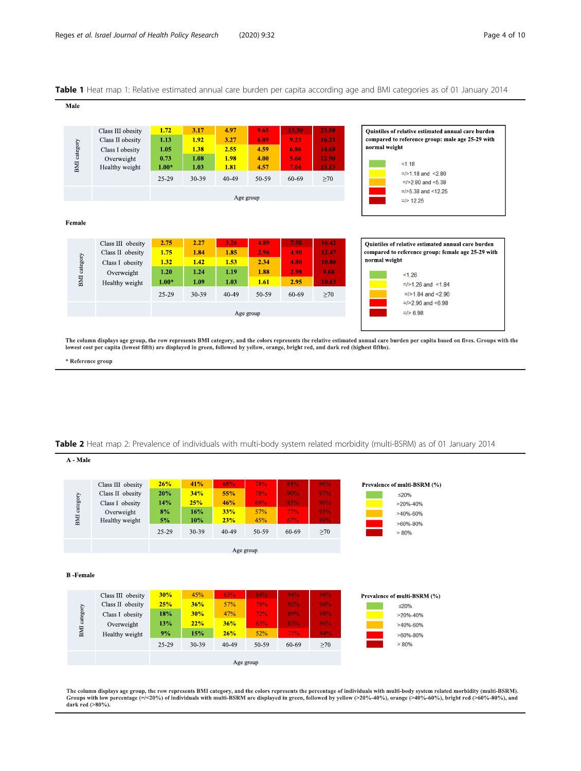## <span id="page-3-0"></span>Table 1 Heat map 1: Relative estimated annual care burden per capita according age and BMI categories as of 01 January 2014

| Male         |                                                                        |                              |                              |                              |                              |                               |                                  |                                                                                                                         |
|--------------|------------------------------------------------------------------------|------------------------------|------------------------------|------------------------------|------------------------------|-------------------------------|----------------------------------|-------------------------------------------------------------------------------------------------------------------------|
| BMI category | Class III obesity<br>Class II obesity<br>Class I obesity<br>Overweight | 1.72<br>1.13<br>1.05<br>0.73 | 3.17<br>1.92<br>1.38<br>1.08 | 4.97<br>3.27<br>2.55<br>1.98 | 9.65<br>6.09<br>4.59<br>4.00 | 13.30<br>9.23<br>6.86<br>5.66 | 23.58<br>16.23<br>14.68<br>12.90 | Ouintiles of relative estimated annual care burden<br>compared to reference group: male age 25-29 with<br>normal weight |
|              | Healthy weight                                                         | $1.00*$                      | 1.03                         | 1.81                         | 4.57                         | 7.04                          | 15.13                            | < 1.18                                                                                                                  |
|              |                                                                        | 25-29                        | 30-39                        | $40 - 49$                    | 50-59                        | 60-69                         | >70                              | $=$ />1.18 and <2.80<br>$=$ />2.80 and <5.38                                                                            |
|              |                                                                        |                              |                              | Age group                    |                              |                               |                                  | $=$ />5.38 and <12.25                                                                                                   |
|              |                                                                        |                              |                              |                              |                              |                               |                                  | $=$ /> 12.25                                                                                                            |
| Female       |                                                                        |                              |                              |                              |                              |                               |                                  |                                                                                                                         |
|              | Class III obesity                                                      | 2.75                         | 2.27                         | 3.26                         | 4.89                         | 7.50                          | 16.42                            | Ouintiles of relative estimated annual care burden                                                                      |
|              | Class II obesity                                                       | 1.75                         | 1.84                         | 1.85                         | 2.96                         | 4.90                          | 12.47                            | compared to reference group: female age 25-29 with                                                                      |
| BMI category | Class I obesity                                                        | 1.32                         | 1.42                         | 1.53                         | 2.34                         | 4.00                          | 10.80                            | normal weight                                                                                                           |
|              | Overweight                                                             | 1.20                         | 1.24                         | 1.19                         | 1.88                         | 2.98                          | 9.68                             | < 1.26                                                                                                                  |
|              | Healthy weight                                                         | $1.00*$                      | 1.09                         | 1.03                         | 1.61                         | 2.95                          | 10.63                            | $=$ />1.26 and <1.84                                                                                                    |
|              |                                                                        | 25-29                        | 30-39                        | $40 - 49$                    | 50-59                        | 60-69                         | $\geq 70$                        | $=$ />1.84 and <2.96                                                                                                    |
|              |                                                                        |                              |                              |                              |                              |                               |                                  | $=$ />2.96 and <6.98                                                                                                    |
|              |                                                                        |                              |                              |                              | Age group                    |                               |                                  | $=$ /> 6.98                                                                                                             |

The column displays age group, the row represents BMI category, and the colors represents the relative estimated annual care burden per capita based on fives. Groups with the<br>lowest cost per capita (lowest fifth) are displ

\* Reference group

### Table 2 Heat map 2: Prevalence of individuals with multi-body system related morbidity (multi-BSRM) as of 01 January 2014

| A - Male         |                   |         |       |       |           |       |           |                              |  |
|------------------|-------------------|---------|-------|-------|-----------|-------|-----------|------------------------------|--|
|                  |                   |         |       |       |           |       |           |                              |  |
|                  | Class III obesity | 26%     | 41%   | 65%   | 78%       | 88%   | 96%       | Prevalence of multi-BSRM (%) |  |
|                  | Class II obesity  | 20%     | 34%   | 55%   | 78%       | 90%   | 97%       | $\leq 20\%$                  |  |
|                  | Class I obesity   | 14%     | 25%   | 46%   | 69%       | 85%   | 96%       | $>20\% - 40\%$               |  |
| BMI category     | Overweight        | 8%      | 16%   | 33%   | 57%       | 77%   | 93%       | $>40\% - 60\%$               |  |
|                  | Healthy weight    | 5%      | 10%   | 23%   | 45%       | 67%   | 89%       | $>60\% - 80\%$               |  |
|                  |                   | 25-29   | 30-39 | 40-49 | 50-59     | 60-69 | $\geq 70$ | $> 80\%$                     |  |
|                  |                   |         |       |       |           |       |           |                              |  |
| Age group        |                   |         |       |       |           |       |           |                              |  |
|                  |                   |         |       |       |           |       |           |                              |  |
| <b>B</b> -Female |                   |         |       |       |           |       |           |                              |  |
|                  |                   |         |       |       |           |       |           |                              |  |
|                  | Class III obesity | 30%     | 45%   | 63%   | 84%       | 94%   | 98%       | Prevalence of multi-BSRM (%) |  |
|                  | Class II obesity  | 25%     | 36%   | 57%   | 79%       | 92%   | 98%       | $\leq$ 20%                   |  |
| BMI category     | Class I obesity   | 18%     | 30%   | 47%   | 72%       | 89%   | 98%       | $>20\% - 40\%$               |  |
|                  | Overweight        | 13%     | 22%   | 36%   | 63%       | 83%   | 96%       | $>40\% - 60\%$               |  |
|                  | Healthy weight    | 9%      | 15%   | 26%   | 52%       | 77%   | 94%       | $>60\% - 80\%$               |  |
|                  |                   | $25-29$ | 30-39 | 40-49 | 50-59     | 60-69 | >70       | $> 80\%$                     |  |
|                  |                   |         |       |       |           |       |           |                              |  |
|                  |                   |         |       |       | Age group |       |           |                              |  |

The column displays age group, the row represents BMI category, and the colors represents the percentage of individuals with multi-body system related morbidity (multi-BSRM).<br>Groups with low percentage (=/<20%) of individ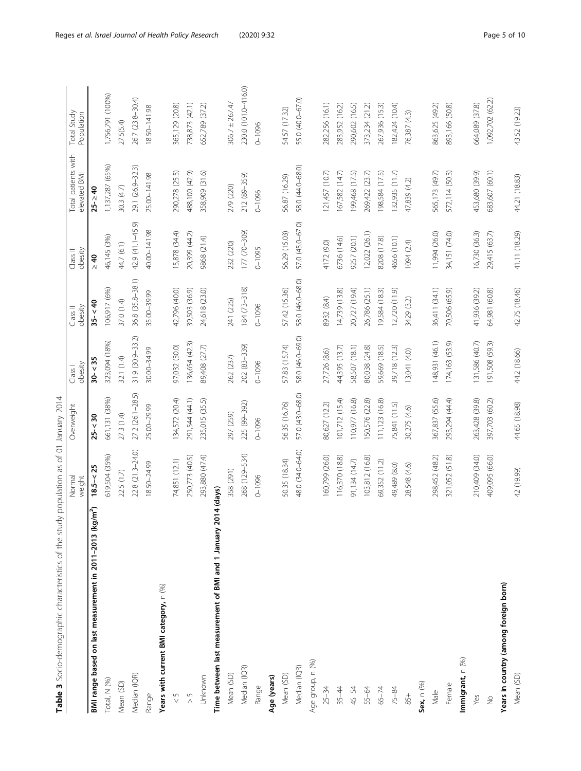<span id="page-4-0"></span>

|                                                                       | Normal<br>weight | Overweight       | obesity<br>Class I | obesity<br>Class II | Class III<br>obesity | Total patients with<br>elevated BMI | Total Study<br>Population |
|-----------------------------------------------------------------------|------------------|------------------|--------------------|---------------------|----------------------|-------------------------------------|---------------------------|
| BMI range based on last measurement in 2011-2013 (kg/m <sup>2</sup> ) | $18.5 - < 25$    | $25 - 30$        | $30 - 35$          | $35 - 40$           | $\geq 40$            | $25$ - $\geq 40$                    |                           |
| Total, N (%)                                                          | 619,504 (35%)    | 661,131 (38%)    | 323,094 (18%)      | 106,917 (6%)        | 46,145 (3%)          | 1,137,287 (65%)                     | 1,756,791 (100%)          |
| Mean (SD)                                                             | 22.5 (1.7)       | 27.3 (1.4)       | 32.1 (1.4)         | 37.0 (1.4)          | 44.7 (6.1)           | 30.3 (4.7)                          | 27.5(5.4)                 |
| Median (IQR)                                                          | 22.8 (21.3-24.0) | 27.2 (26.1-28.5) | 31.9 (30.9-33.2)   | 36.8 (35.8-38.1)    | 42.9 (41.1-45.9)     | 29.1 (26.9-32.3)                    | 26.7 (23.8-30.4)          |
| Range                                                                 | 18.50-24.99      | 25.00-29.99      | 30.00-34.99        | 35.00-39.99         | 40.00-141.98         | 25.00-141.98                        | 18.50-141.98              |
| Years with current BMI category, n (%)                                |                  |                  |                    |                     |                      |                                     |                           |
| $\frac{5}{2}$                                                         | 74,851 (12.1)    | 134,572 (20.4)   | 97,032 (30.0)      | 42,796 (40.0)       | 15,878 (34.4)        | 290,278 (25.5)                      | 365,129 (20.8)            |
| $\frac{5}{2}$                                                         | 250,773 (40.5)   | 291,544 (44.1)   | 136,654 (42.3)     | 39,503 (36.9)       | 20,399 (44.2)        | 488,100 (42.9)                      | 738,873 (42.1)            |
| Unknown                                                               | 293,880 (47.4)   | 235,015 (35.5)   | 89,408 (27.7)      | 24,618 (23.0)       | 9868 (21.4)          | 358,909 (31.6)                      | 652,789 (37.2)            |
| Time between last measurement of BMI and 1 January 2014 (days)        |                  |                  |                    |                     |                      |                                     |                           |
| Mean (SD)                                                             | 358 (291)        | 297 (259)        | 262 (237)          | 241 (225)           | 232 (220)            | 279 (220)                           | $306.7 \pm 267.47$        |
| Median (IQR)                                                          | 268 (129-534)    | 225 (99-392)     | 202 (83-339)       | $184(73 - 318)$     | 177 (70-309)         | 212 (89-359)                        | 230.0 (101.0-416.0)       |
| Range                                                                 | $0 - 1096$       | $0 - 1096$       | $0 - 1096$         | $0 - 1096$          | $0 - 1095$           | $0 - 1096$                          | $0 - 1096$                |
| Age (years)                                                           |                  |                  |                    |                     |                      |                                     |                           |
| Mean (SD)                                                             | 50.35 (18.34)    | 56.35 (16.76)    | 57.83 (15.74)      | 57.42 (15.36)       | 56.29 (15.03)        | 56.87 (16.29)                       | 54.57 (17.32)             |
| Median (IQR)                                                          | 48.0 (34.0-64.0) | 57.0 (43.0-68.0) | 58.0 (46.0-69.0)   | 58.0 (46.0-68.0)    | 57.0 (45.0-67.0)     | 58.0 (44.0-68.0)                    | 55.0 (40.0-67.0)          |
| Age group, n (%)                                                      |                  |                  |                    |                     |                      |                                     |                           |
| $25 - 34$                                                             | 160,799 (26.0)   | 80,627 (12.2)    | 27,726 (8.6)       | 8932 (8.4)          | 4172 (9.0)           | 121,457 (10.7)                      | 282,256 (16.1)            |
| $35 - 44$                                                             | 116,370 (18.8)   | 101,712 (15.4)   | 44,395 (13.7)      | 14,739 (13.8)       | 6736 (14.6)          | 167,582 (14.7)                      | 283,952 (16.2)            |
| 45-54                                                                 | 91,134 (14.7)    | 110,977 (16.8)   | 58,507 (18.1)      | 20,727 (19.4)       | 9257 (20.1)          | 199,468 (17.5)                      | 290,602 (16.5)            |
| 55-64                                                                 | 103,812 (16.8)   | 150,576 (22.8)   | 80,038 (24.8)      | 26,786 (25.1)       | 12,022 (26.1)        | 269,422 (23.7)                      | 373,234 (21.2)            |
| $65 - 74$                                                             | 69,352 (11.2)    | 111,123 (16.8)   | 59,669 (18.5)      | 19,584 (18.3)       | 8208 (17.8)          | 198,584 (17.5)                      | 267,936 (15.3)            |
| $75 - 84$                                                             | 49,489 (8.0)     | 75,841 (11.5)    | 39,718 (12.3)      | 12,720(11.9)        | 4656 (10.1)          | 132,935 (11.7)                      | 182,424 (10.4)            |
| 85+                                                                   | 28,548 (4.6)     | 30,275 (4.6)     | 13,041 (4.0)       | 3429 (3.2)          | 1094 (2.4)           | 47,839 (4.2)                        | 76,387 (4.3)              |
| Sex, n (%)                                                            |                  |                  |                    |                     |                      |                                     |                           |
| Male                                                                  | 298,452 (48.2)   | 367,837 (55.6)   | 148,931 (46.1)     | 36,411 (34.1)       | 11,994 (26.0)        | 565,173 (49.7)                      | 863,625 (49.2)            |
| Female                                                                | 321,052 (51.8)   | 293,294 (44.4)   | 174,163 (53.9)     | 70,506 (65.9)       | 34,151 (74.0)        | 572,114 (50.3)                      | 893,166 (50.8)            |
| Immigrant, n (%)                                                      |                  |                  |                    |                     |                      |                                     |                           |
| Yes                                                                   | 210,409 (34.0)   | 263,428 (39.8)   | 131,586 (40.7)     | 41,936 (39.2)       | 16,730 (36.3)        | 453,680 (39.9)                      | 664,089 (37.8)            |
| $\frac{\circ}{\mathbb{Z}}$                                            | 409,095 (66.0)   | 397,703 (60.2)   | 191,508 (59.3)     | 64,981 (60.8)       | 29,415 (63.7)        | 683,607 (60.1)                      | 1,092,702 (62.2)          |
| Years in country (among foreign born)                                 |                  |                  |                    |                     |                      |                                     |                           |
| Mean (SD)                                                             | 42 (19.99)       | 44.65 (18.98)    | 44.2 (18.66)       | 42.75 (18.46)       | 41.11 (18.29)        | 44.21 (18.83)                       | 43.52 (19.23)             |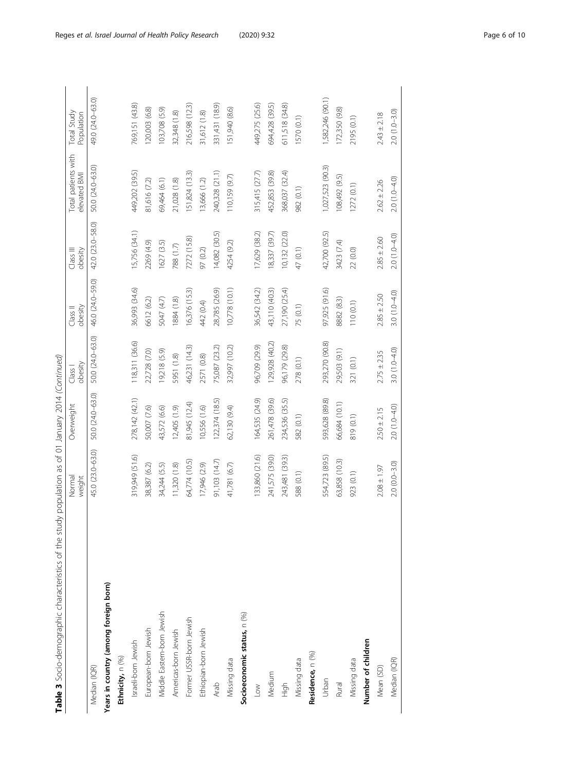| j                    |
|----------------------|
|                      |
|                      |
|                      |
| ;<br>)<br>ζ          |
| j                    |
|                      |
| ì                    |
|                      |
| j                    |
|                      |
| $\frac{1}{2}$        |
| i                    |
|                      |
| ;<br>م               |
| )<br>3<br>-          |
|                      |
| $\frac{1}{2}$        |
| $\frac{1}{2}$        |
|                      |
| l<br>í               |
|                      |
|                      |
|                      |
| $\ddot{\phantom{a}}$ |
|                      |
|                      |
|                      |
| i<br>T               |
| $\frac{1}{2}$        |
| $\frac{1}{2}$        |
|                      |
| )<br>)<br>5          |
|                      |
| j                    |
|                      |
|                      |
|                      |
|                      |
| ĭ                    |
| $\frac{1}{2}$        |
| $\frac{1}{2}$        |
| ر                    |
| I                    |
| i                    |
| リリハー<br>Š<br>Ç       |
|                      |
| Ì<br>ໍ່              |
| $\vdots$             |
| Ċ                    |
| l                    |

| Table 3 Socio-demographic characteristics of the study | population as of 01 January 2014 (Continued) |                  |                    |                     |                      |                                     |                           |
|--------------------------------------------------------|----------------------------------------------|------------------|--------------------|---------------------|----------------------|-------------------------------------|---------------------------|
|                                                        | Normal<br>weight                             | Overweight       | obesity<br>Class I | obesity<br>Class II | Class III<br>obesity | Total patients with<br>elevated BMI | Total Study<br>Population |
| Median (IQR)                                           | 45.0 (23.0-63.0)                             | 50.0 (24.0-63.0) | 50.0 (24.0-63.0)   | 46.0 (24.0-59.0)    | 42.0 (23.0-58.0)     | 50.0 (24.0-63.0)                    | 49.0 (24.0-63.0)          |
| Years in country (among foreign born)                  |                                              |                  |                    |                     |                      |                                     |                           |
| Ethnicity, n (%)                                       |                                              |                  |                    |                     |                      |                                     |                           |
| Israeli-born Jewish                                    | 319,949 (51.6)                               | 278,142 (42.1)   | 118,311 (36.6)     | 36,993 (34.6)       | 5,756 (34.1)         | 449,202 (39.5)                      | 769,151 (43.8)            |
| European-born Jewish                                   | 38,387 (6.2)                                 | 50,007 (7.6)     | 22,728 (7.0)       | 5612 (6.2)          | 2269 (4.9)           | 81,616 (7.2)                        | 120,003 (6.8)             |
| Middle Eastern-born Jewish                             | 34,244 (5.5)                                 | 43,572 (6.6)     | (6.5) 812,61       | 5047 (4.7)          | 1627 (3.5)           | 69,464 (6.1)                        | 103,708 (5.9)             |
| Americas-born Jewish                                   | 11,320(1.8)                                  | 12,405 (1.9)     | 5951 (1.8)         | 1884 (1.8)          | 788(1.7)             | 21,028 (1.8)                        | 32,348 (1.8)              |
| Former USSR-born Jewish                                | 64,774 (10.5)                                | 81,945 (12.4)    | 46,231 (14.3)      | 16,376 (15.3)       | 7272 (15.8)          | 151,824 (13.3)                      | 216,598 (12.3)            |
| Ethiopian-born Jewish                                  | 17,946 (2.9)                                 | 10,556 (1.6)     | 2571 (0.8)         | 442 (0.4)           | 97 (0.2)             | 13,666 (1.2)                        | 31,612 (1.8)              |
| Arab                                                   | 91,103 (14.7)                                | 122,374(18.5)    | 75,087 (23.2)      | 28,785 (26.9)       | 14,082 (30.5)        | 240,328 (21.1)                      | 331,431 (18.9)            |
| Missing data                                           | 41,781 (6.7)                                 | 62,130 (9.4)     | 32,997 (10.2)      | 10,778 (10.1)       | 4254 (9.2)           | 110,159 (9.7)                       | (8.6) 046 (151            |
| Socioeconomic status, n (%)                            |                                              |                  |                    |                     |                      |                                     |                           |
| $L_{\text{OW}}$                                        | 33,860 (21.6)                                | 164,535 (24.9)   | 96,709 (29.9)      | 36,542 (34.2)       | 17,629 (38.2)        | 315,415 (27.7)                      | 449,275 (25.6)            |
| Medium                                                 | 241,575 (39.0)                               | 261,478 (39.6)   | (29,928 (40.2)     | 43,110 (40.3)       | 8,337 (39.7)         | 452,853 (39.8)                      | 694,428 (39.5)            |
| High                                                   | 243,481 (39.3)                               | 234,536 (35.5)   | 96,179 (29.8)      | 27,190 (25.4)       | 10,132 (22.0)        | 368,037 (32.4)                      | 611,518 (34.8)            |
| Missing data                                           | 588 (0.1)                                    | 582 (0.1)        | 278 (0.1)          | 75 (0.1)            | 47 (0.1)             | 982 (0.1)                           | 1570 (0.1)                |
| Residence, n (%)                                       |                                              |                  |                    |                     |                      |                                     |                           |
| Urban                                                  | 554,723 (89.5)                               | 593,628 (89.8)   | 293,270 (90.8)     | 97,925 (91.6)       | 42,700 (92.5)        | 1,027,523 (90.3)                    | 1,582,246 (90.1)          |
| Rural                                                  | 63,858 (10.3)                                | 66,684 (10.1)    | 29,503 (9.1)       | 8882 (8.3)          | 3423 (7.4)           | 108,492 (9.5)                       | 172,350 (9.8)             |
| Missing data                                           | 923 (0.1)                                    | 819 (0.1)        | 321 (0.1)          | 110 (0.1)           | 22(0.0)              | 1272(0.1)                           | 2195 (0.1)                |
| Number of children                                     |                                              |                  |                    |                     |                      |                                     |                           |
| Mean (SD)                                              | $2.08 \pm 1.97$                              | $2.50 \pm 2.15$  | $2.75 \pm 2.35$    | $2.85 \pm 2.50$     | $2.85 \pm 2.60$      | $2.62 \pm 2.26$                     | $2.43 \pm 2.18$           |
| Median (IQR)                                           | $2.0(0.0 - 3.0)$                             | $2.0(1.0 - 4.0)$ | $3.0(1.0 - 4.0)$   | 3.0 $(1.0 - 4.0)$   | 2.0 (1.0-4.0)        | $2.0(1.0 - 4.0)$                    | $2.0(1.0 - 3.0)$          |
|                                                        |                                              |                  |                    |                     |                      |                                     |                           |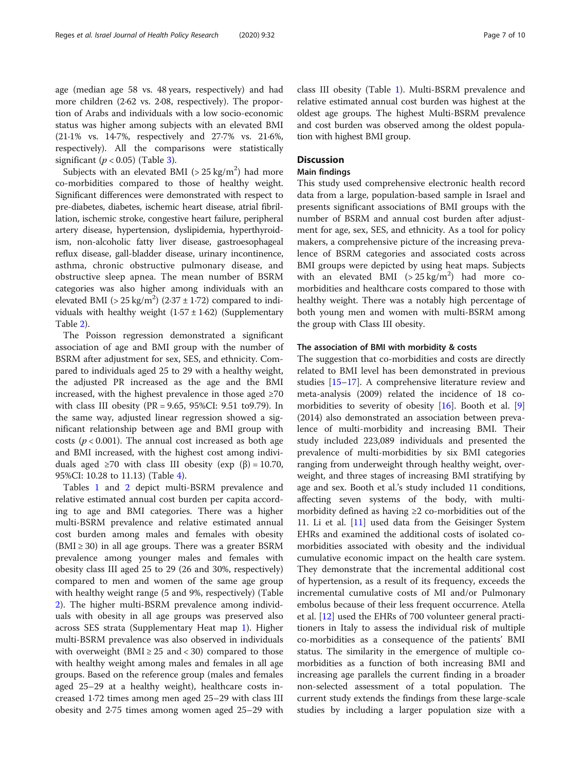age (median age 58 vs. 48 years, respectively) and had more children (2·62 vs. 2·08, respectively). The proportion of Arabs and individuals with a low socio-economic status was higher among subjects with an elevated BMI (21·1% vs. 14·7%, respectively and 27·7% vs. 21·6%, respectively). All the comparisons were statistically significant ( $p < 0.05$ ) (Table [3\)](#page-4-0).

Subjects with an elevated BMI ( $>$  25 kg/m<sup>2</sup>) had more co-morbidities compared to those of healthy weight. Significant differences were demonstrated with respect to pre-diabetes, diabetes, ischemic heart disease, atrial fibrillation, ischemic stroke, congestive heart failure, peripheral artery disease, hypertension, dyslipidemia, hyperthyroidism, non-alcoholic fatty liver disease, gastroesophageal reflux disease, gall-bladder disease, urinary incontinence, asthma, chronic obstructive pulmonary disease, and obstructive sleep apnea. The mean number of BSRM categories was also higher among individuals with an elevated BMI ( $> 25 \text{ kg/m}^2$ ) (2.37 ± 1.72) compared to individuals with healthy weight  $(1.57 \pm 1.62)$  (Supplementary Table [2\)](#page-9-0).

The Poisson regression demonstrated a significant association of age and BMI group with the number of BSRM after adjustment for sex, SES, and ethnicity. Compared to individuals aged 25 to 29 with a healthy weight, the adjusted PR increased as the age and the BMI increased, with the highest prevalence in those aged  $\geq 70$ with class III obesity (PR = 9.65, 95%CI: 9.51 to9.79). In the same way, adjusted linear regression showed a significant relationship between age and BMI group with costs ( $p < 0.001$ ). The annual cost increased as both age and BMI increased, with the highest cost among individuals aged ≥70 with class III obesity (exp (β) = 10.70, 95%CI: 10.28 to 11.13) (Table [4](#page-7-0)).

Tables [1](#page-3-0) and [2](#page-3-0) depict multi-BSRM prevalence and relative estimated annual cost burden per capita according to age and BMI categories. There was a higher multi-BSRM prevalence and relative estimated annual cost burden among males and females with obesity (BMI  $\geq$  30) in all age groups. There was a greater BSRM prevalence among younger males and females with obesity class III aged 25 to 29 (26 and 30%, respectively) compared to men and women of the same age group with healthy weight range (5 and 9%, respectively) (Table [2\)](#page-3-0). The higher multi-BSRM prevalence among individuals with obesity in all age groups was preserved also across SES strata (Supplementary Heat map [1\)](#page-8-0). Higher multi-BSRM prevalence was also observed in individuals with overweight ( $BMI \geq 25$  and < 30) compared to those with healthy weight among males and females in all age groups. Based on the reference group (males and females aged 25–29 at a healthy weight), healthcare costs increased 1·72 times among men aged 25–29 with class III obesity and 2·75 times among women aged 25–29 with class III obesity (Table [1\)](#page-3-0). Multi-BSRM prevalence and relative estimated annual cost burden was highest at the oldest age groups. The highest Multi-BSRM prevalence and cost burden was observed among the oldest population with highest BMI group.

## **Discussion**

### Main findings

This study used comprehensive electronic health record data from a large, population-based sample in Israel and presents significant associations of BMI groups with the number of BSRM and annual cost burden after adjustment for age, sex, SES, and ethnicity. As a tool for policy makers, a comprehensive picture of the increasing prevalence of BSRM categories and associated costs across BMI groups were depicted by using heat maps. Subjects with an elevated BMI  $(> 25 \text{ kg/m}^2)$  had more comorbidities and healthcare costs compared to those with healthy weight. There was a notably high percentage of both young men and women with multi-BSRM among the group with Class III obesity.

### The association of BMI with morbidity & costs

The suggestion that co-morbidities and costs are directly related to BMI level has been demonstrated in previous studies [\[15](#page-9-0)–[17\]](#page-9-0). A comprehensive literature review and meta-analysis (2009) related the incidence of 18 comorbidities to severity of obesity  $[16]$  $[16]$ . Booth et al. [\[9](#page-9-0)] (2014) also demonstrated an association between prevalence of multi-morbidity and increasing BMI. Their study included 223,089 individuals and presented the prevalence of multi-morbidities by six BMI categories ranging from underweight through healthy weight, overweight, and three stages of increasing BMI stratifying by age and sex. Booth et al.'s study included 11 conditions, affecting seven systems of the body, with multimorbidity defined as having  $\geq 2$  co-morbidities out of the 11. Li et al. [\[11](#page-9-0)] used data from the Geisinger System EHRs and examined the additional costs of isolated comorbidities associated with obesity and the individual cumulative economic impact on the health care system. They demonstrate that the incremental additional cost of hypertension, as a result of its frequency, exceeds the incremental cumulative costs of MI and/or Pulmonary embolus because of their less frequent occurrence. Atella et al. [\[12](#page-9-0)] used the EHRs of 700 volunteer general practitioners in Italy to assess the individual risk of multiple co-morbidities as a consequence of the patients' BMI status. The similarity in the emergence of multiple comorbidities as a function of both increasing BMI and increasing age parallels the current finding in a broader non-selected assessment of a total population. The current study extends the findings from these large-scale studies by including a larger population size with a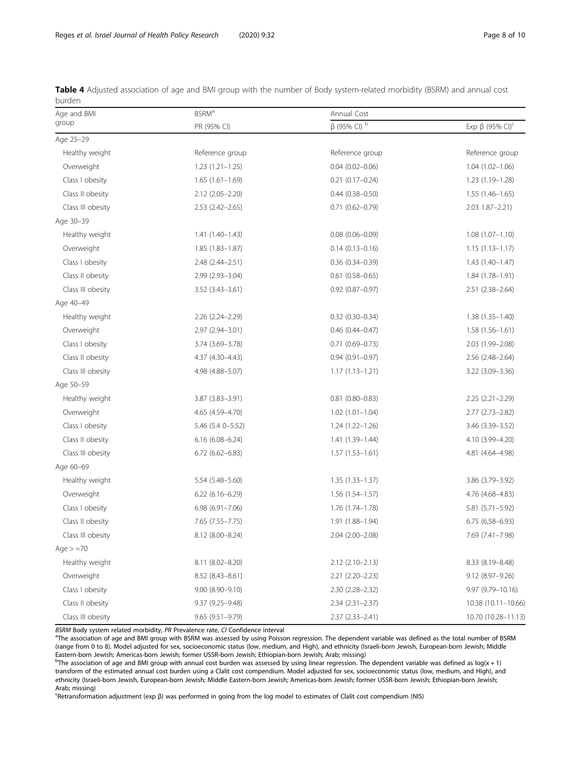<span id="page-7-0"></span>

| Table 4 Adjusted association of age and BMI group with the number of Body system-related morbidity (BSRM) and annual cost |  |  |  |  |  |  |  |  |
|---------------------------------------------------------------------------------------------------------------------------|--|--|--|--|--|--|--|--|
| burden                                                                                                                    |  |  |  |  |  |  |  |  |

| Age and BMI       | <b>BSRM</b> <sup>a</sup> | Annual Cost                   |                                   |  |  |  |  |
|-------------------|--------------------------|-------------------------------|-----------------------------------|--|--|--|--|
| group             | PR (95% CI)              | $\beta$ (95% CI) <sup>b</sup> | Exp $\beta$ (95% CI) <sup>c</sup> |  |  |  |  |
| Age 25-29         |                          |                               |                                   |  |  |  |  |
| Healthy weight    | Reference group          | Reference group               | Reference group                   |  |  |  |  |
| Overweight        | $1.23(1.21 - 1.25)$      | $0.04(0.02 - 0.06)$           | $1.04(1.02 - 1.06)$               |  |  |  |  |
| Class I obesity   | $1.65(1.61-1.69)$        | $0.21(0.17-0.24)$             | $1.23(1.19 - 1.28)$               |  |  |  |  |
| Class II obesity  | 2.12 (2.05-2.20)         | $0.44$ $(0.38 - 0.50)$        | $1.55(1.46 - 1.65)$               |  |  |  |  |
| Class III obesity | $2.53$ $(2.42 - 2.65)$   | $0.71(0.62 - 0.79)$           | $2.03$ 1.87-2.21)                 |  |  |  |  |
| Age 30-39         |                          |                               |                                   |  |  |  |  |
| Healthy weight    | $1.41(1.40-1.43)$        | $0.08(0.06 - 0.09)$           | $1.08(1.07 - 1.10)$               |  |  |  |  |
| Overweight        | $1.85(1.83 - 1.87)$      | $0.14(0.13 - 0.16)$           | $1.15(1.13 - 1.17)$               |  |  |  |  |
| Class I obesity   | 2.48 (2.44-2.51)         | $0.36(0.34 - 0.39)$           | $1.43(1.40-1.47)$                 |  |  |  |  |
| Class II obesity  | 2.99 (2.93-3.04)         | $0.61(0.58 - 0.65)$           | $1.84(1.78 - 1.91)$               |  |  |  |  |
| Class III obesity | $3.52(3.43 - 3.61)$      | $0.92$ (0.87-0.97)            | 2.51 (2.38-2.64)                  |  |  |  |  |
| Age 40-49         |                          |                               |                                   |  |  |  |  |
| Healthy weight    | $2.26$ $(2.24 - 2.29)$   | $0.32$ (0.30-0.34)            | $1.38(1.35 - 1.40)$               |  |  |  |  |
| Overweight        | 2.97 (2.94-3.01)         | $0.46(0.44 - 0.47)$           | $1.58(1.56 - 1.61)$               |  |  |  |  |
| Class I obesity   | 3.74 (3.69-3.78)         | $0.71(0.69 - 0.73)$           | 2.03 (1.99-2.08)                  |  |  |  |  |
| Class II obesity  | 4.37 (4.30-4.43)         | $0.94(0.91 - 0.97)$           | 2.56 (2.48-2.64)                  |  |  |  |  |
| Class III obesity | 4.98 (4.88-5.07)         | $1.17(1.13 - 1.21)$           | $3.22(3.09 - 3.36)$               |  |  |  |  |
| Age 50-59         |                          |                               |                                   |  |  |  |  |
| Healthy weight    | 3.87 (3.83-3.91)         | $0.81$ (0.80-0.83)            | $2.25(2.21 - 2.29)$               |  |  |  |  |
| Overweight        | 4.65 (4.59-4.70)         | $1.02(1.01 - 1.04)$           | $2.77(2.73 - 2.82)$               |  |  |  |  |
| Class I obesity   | 5.46 (5.4 0-5.52)        | $1.24(1.22 - 1.26)$           | 3.46 (3.39-3.52)                  |  |  |  |  |
| Class II obesity  | $6.16(6.08 - 6.24)$      | 1.41 (1.39-1.44)              | 4.10 (3.99-4.20)                  |  |  |  |  |
| Class III obesity | $6.72(6.62 - 6.83)$      | $1.57(1.53 - 1.61)$           | 4.81 (4.64-4.98)                  |  |  |  |  |
| Age 60-69         |                          |                               |                                   |  |  |  |  |
| Healthy weight    | 5.54 (5.48-5.60)         | $1.35(1.33 - 1.37)$           | 3.86 (3.79-3.92)                  |  |  |  |  |
| Overweight        | $6.22(6.16 - 6.29)$      | 1.56 (1.54-1.57)              | 4.76 (4.68-4.83)                  |  |  |  |  |
| Class I obesity   | $6.98(6.91 - 7.06)$      | 1.76 (1.74-1.78)              | 5.81 (5.71-5.92)                  |  |  |  |  |
| Class II obesity  | 7.65 (7.55-7.75)         | 1.91 (1.88-1.94)              | $6.75(6.58 - 6.93)$               |  |  |  |  |
| Class III obesity | 8.12 (8.00-8.24)         | 2.04 (2.00-2.08)              | 7.69 (7.41-7.98)                  |  |  |  |  |
| Age $> = 70$      |                          |                               |                                   |  |  |  |  |
| Healthy weight    | 8.11 (8.02-8.20)         | $2.12(2.10-2.13)$             | 8.33 (8.19-8.48)                  |  |  |  |  |
| Overweight        | 8.52 (8.43-8.61)         | 2.21 (2.20-2.23)              | 9.12 (8.97-9.26)                  |  |  |  |  |
| Class I obesity   | $9.00(8.90 - 9.10)$      | 2.30 (2.28-2.32)              | 9.97 (9.79-10.16)                 |  |  |  |  |
| Class II obesity  | 9.37 (9.25-9.48)         | $2.34(2.31 - 2.37)$           | 10.38 (10.11-10.66)               |  |  |  |  |
| Class III obesity | $9.65(9.51 - 9.79)$      | $2.37(2.33 - 2.41)$           | 10.70 (10.28-11.13)               |  |  |  |  |

BSRM Body system related morbidity, PR Prevalence rate, CI Confidence interval

<sup>a</sup>The association of age and BMI group with BSRM was assessed by using Poisson regression. The dependent variable was defined as the total number of BSRM (range from 0 to 8). Model adjusted for sex, socioeconomic status (low, medium, and High), and ethnicity (Israeli-born Jewish, European-born Jewish; Middle Eastern-born Jewish; Americas-born Jewish; former USSR-born Jewish; Ethiopian-born Jewish; Arab; missing)

 $^{\rm b}$ The association of age and BMI group with annual cost burden was assessed by using linear regression. The dependent variable was defined as log(x + 1) transform of the estimated annual cost burden using a Clalit cost compendium. Model adjusted for sex, socioeconomic status (low, medium, and High), and ethnicity (Israeli-born Jewish, European-born Jewish; Middle Eastern-born Jewish; Americas-born Jewish; former USSR-born Jewish; Ethiopian-born Jewish; Arab; missing)

c Retransformation adjustment (exp β) was performed in going from the log model to estimates of Clalit cost compendium (NIS)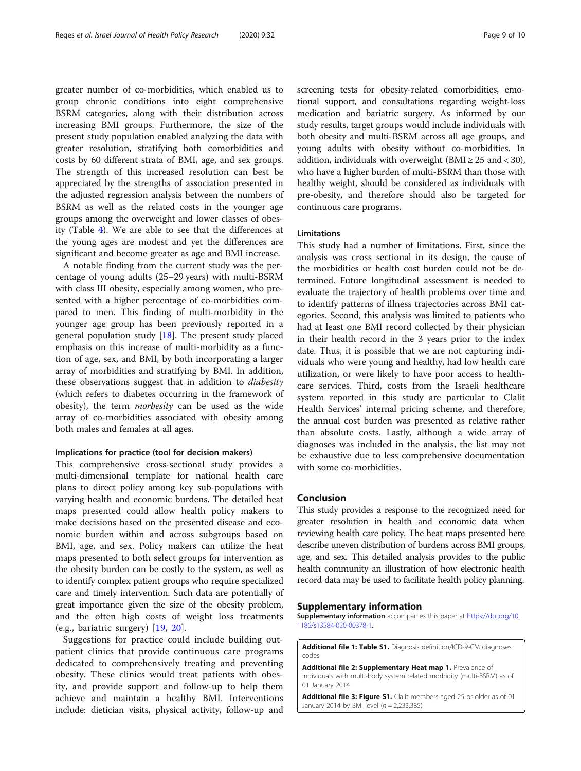<span id="page-8-0"></span>greater number of co-morbidities, which enabled us to group chronic conditions into eight comprehensive BSRM categories, along with their distribution across increasing BMI groups. Furthermore, the size of the present study population enabled analyzing the data with greater resolution, stratifying both comorbidities and costs by 60 different strata of BMI, age, and sex groups. The strength of this increased resolution can best be appreciated by the strengths of association presented in the adjusted regression analysis between the numbers of BSRM as well as the related costs in the younger age groups among the overweight and lower classes of obesity (Table [4\)](#page-7-0). We are able to see that the differences at the young ages are modest and yet the differences are significant and become greater as age and BMI increase.

A notable finding from the current study was the percentage of young adults (25–29 years) with multi-BSRM with class III obesity, especially among women, who presented with a higher percentage of co-morbidities compared to men. This finding of multi-morbidity in the younger age group has been previously reported in a general population study [\[18](#page-9-0)]. The present study placed emphasis on this increase of multi-morbidity as a function of age, sex, and BMI, by both incorporating a larger array of morbidities and stratifying by BMI. In addition, these observations suggest that in addition to *diabesity* (which refers to diabetes occurring in the framework of obesity), the term morbesity can be used as the wide array of co-morbidities associated with obesity among both males and females at all ages.

### Implications for practice (tool for decision makers)

This comprehensive cross-sectional study provides a multi-dimensional template for national health care plans to direct policy among key sub-populations with varying health and economic burdens. The detailed heat maps presented could allow health policy makers to make decisions based on the presented disease and economic burden within and across subgroups based on BMI, age, and sex. Policy makers can utilize the heat maps presented to both select groups for intervention as the obesity burden can be costly to the system, as well as to identify complex patient groups who require specialized care and timely intervention. Such data are potentially of great importance given the size of the obesity problem, and the often high costs of weight loss treatments (e.g., bariatric surgery) [[19,](#page-9-0) [20\]](#page-9-0).

Suggestions for practice could include building outpatient clinics that provide continuous care programs dedicated to comprehensively treating and preventing obesity. These clinics would treat patients with obesity, and provide support and follow-up to help them achieve and maintain a healthy BMI. Interventions include: dietician visits, physical activity, follow-up and screening tests for obesity-related comorbidities, emotional support, and consultations regarding weight-loss medication and bariatric surgery. As informed by our study results, target groups would include individuals with both obesity and multi-BSRM across all age groups, and young adults with obesity without co-morbidities. In addition, individuals with overweight (BMI  $\geq$  25 and < 30), who have a higher burden of multi-BSRM than those with healthy weight, should be considered as individuals with pre-obesity, and therefore should also be targeted for continuous care programs.

## Limitations

This study had a number of limitations. First, since the analysis was cross sectional in its design, the cause of the morbidities or health cost burden could not be determined. Future longitudinal assessment is needed to evaluate the trajectory of health problems over time and to identify patterns of illness trajectories across BMI categories. Second, this analysis was limited to patients who had at least one BMI record collected by their physician in their health record in the 3 years prior to the index date. Thus, it is possible that we are not capturing individuals who were young and healthy, had low health care utilization, or were likely to have poor access to healthcare services. Third, costs from the Israeli healthcare system reported in this study are particular to Clalit Health Services' internal pricing scheme, and therefore, the annual cost burden was presented as relative rather than absolute costs. Lastly, although a wide array of diagnoses was included in the analysis, the list may not be exhaustive due to less comprehensive documentation with some co-morbidities.

## Conclusion

This study provides a response to the recognized need for greater resolution in health and economic data when reviewing health care policy. The heat maps presented here describe uneven distribution of burdens across BMI groups, age, and sex. This detailed analysis provides to the public health community an illustration of how electronic health record data may be used to facilitate health policy planning.

#### Supplementary information

Supplementary information accompanies this paper at [https://doi.org/10.](https://doi.org/10.1186/s13584-020-00378-1) [1186/s13584-020-00378-1](https://doi.org/10.1186/s13584-020-00378-1).

Additional file 1: Table S1. Diagnosis definition/ICD-9-CM diagnoses codes

Additional file 2: Supplementary Heat map 1. Prevalence of individuals with multi-body system related morbidity (multi-BSRM) as of 01 January 2014

Additional file 3: Figure S1. Clalit members aged 25 or older as of 01 January 2014 by BMI level ( $n = 2,233,385$ )